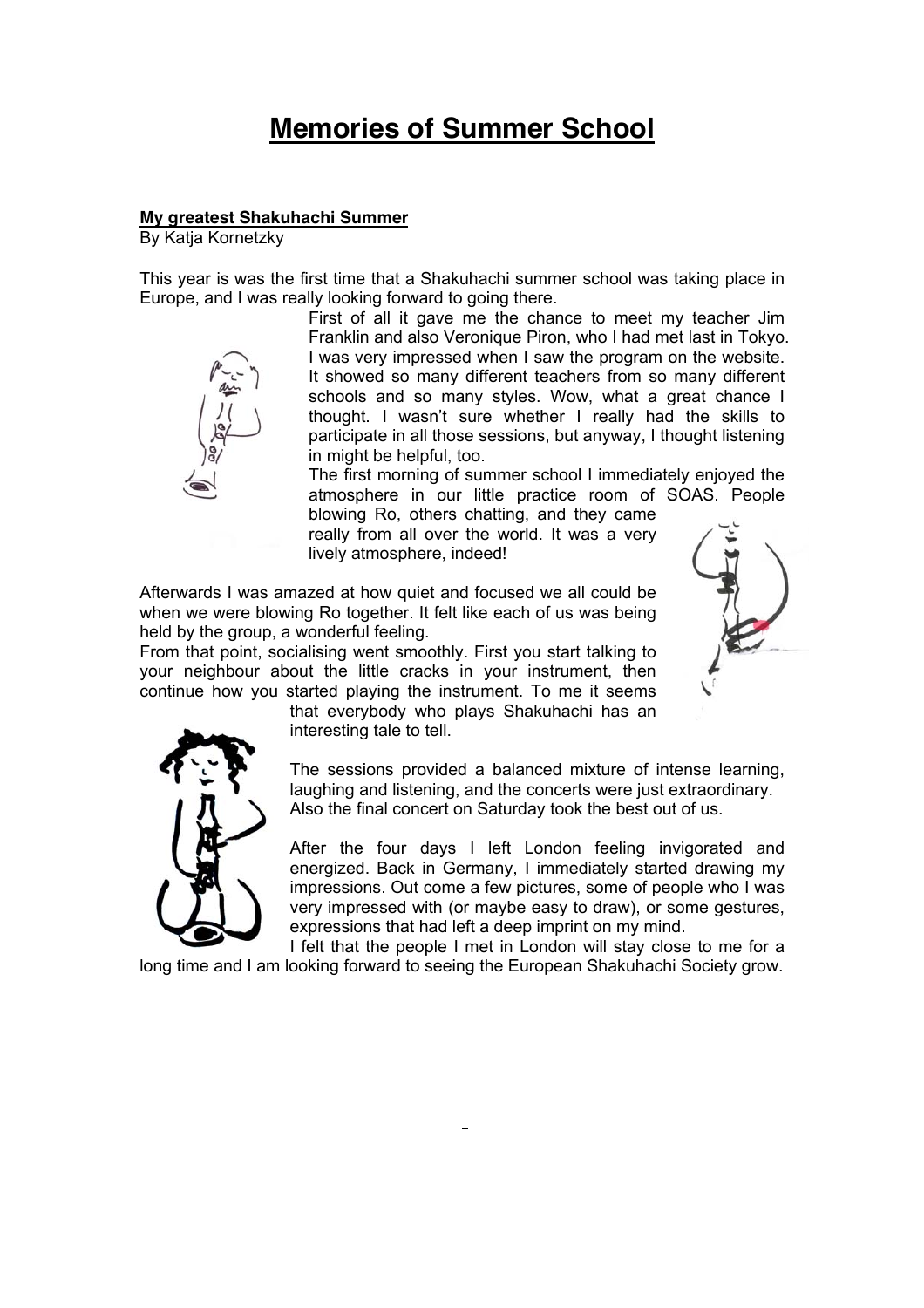# **Memories of Summer School**

#### **My greatest Shakuhachi Summer**

By Katja Kornetzky

This year is was the first time that a Shakuhachi summer school was taking place in Europe, and I was really looking forward to going there.

> First of all it gave me the chance to meet my teacher Jim Franklin and also Veronique Piron, who I had met last in Tokyo. I was very impressed when I saw the program on the website. It showed so many different teachers from so many different schools and so many styles. Wow, what a great chance I thought. I wasn't sure whether I really had the skills to participate in all those sessions, but anyway, I thought listening in might be helpful, too.

> The first morning of summer school I immediately enjoyed the atmosphere in our little practice room of SOAS. People

blowing Ro, others chatting, and they came really from all over the world. It was a very lively atmosphere, indeed!

Afterwards I was amazed at how quiet and focused we all could be when we were blowing Ro together. It felt like each of us was being held by the group, a wonderful feeling.

From that point, socialising went smoothly. First you start talking to your neighbour about the little cracks in your instrument, then continue how you started playing the instrument. To me it seems

that everybody who plays Shakuhachi has an interesting tale to tell.

The sessions provided a balanced mixture of intense learning, laughing and listening, and the concerts were just extraordinary. Also the final concert on Saturday took the best out of us.

After the four days I left London feeling invigorated and energized. Back in Germany, I immediately started drawing my impressions. Out come a few pictures, some of people who I was very impressed with (or maybe easy to draw), or some gestures, expressions that had left a deep imprint on my mind.

I felt that the people I met in London will stay close to me for a long time and I am looking forward to seeing the European Shakuhachi Society grow.



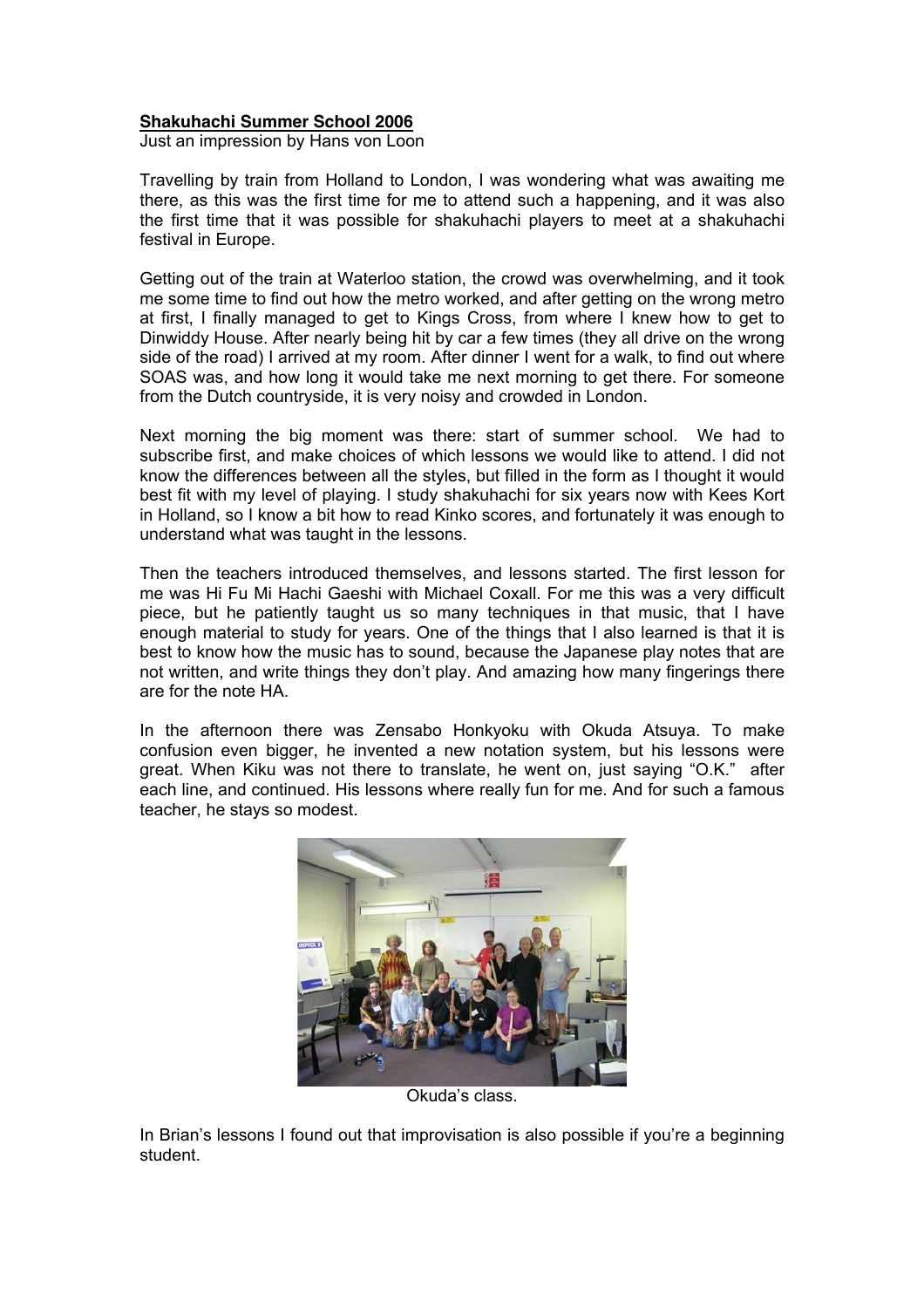## **Shakuhachi Summer School 2006**

Just an impression by Hans von Loon

Travelling by train from Holland to London, I was wondering what was awaiting me there, as this was the first time for me to attend such a happening, and it was also the first time that it was possible for shakuhachi players to meet at a shakuhachi festival in Europe.

Getting out of the train at Waterloo station, the crowd was overwhelming, and it took me some time to find out how the metro worked, and after getting on the wrong metro at first, I finally managed to get to Kings Cross, from where I knew how to get to Dinwiddy House. After nearly being hit by car a few times (they all drive on the wrong side of the road) I arrived at my room. After dinner I went for a walk, to find out where SOAS was, and how long it would take me next morning to get there. For someone from the Dutch countryside, it is very noisy and crowded in London.

Next morning the big moment was there: start of summer school. We had to subscribe first, and make choices of which lessons we would like to attend. I did not know the differences between all the styles, but filled in the form as I thought it would best fit with my level of playing. I study shakuhachi for six years now with Kees Kort in Holland, so I know a bit how to read Kinko scores, and fortunately it was enough to understand what was taught in the lessons.

Then the teachers introduced themselves, and lessons started. The first lesson for me was Hi Fu Mi Hachi Gaeshi with Michael Coxall. For me this was a very difficult piece, but he patiently taught us so many techniques in that music, that I have enough material to study for years. One of the things that I also learned is that it is best to know how the music has to sound, because the Japanese play notes that are not written, and write things they don't play. And amazing how many fingerings there are for the note HA.

In the afternoon there was Zensabo Honkyoku with Okuda Atsuya. To make confusion even bigger, he invented a new notation system, but his lessons were great. When Kiku was not there to translate, he went on, just saying "O.K." after each line, and continued. His lessons where really fun for me. And for such a famous teacher, he stays so modest.



Okuda's class.

In Brian's lessons I found out that improvisation is also possible if you're a beginning student.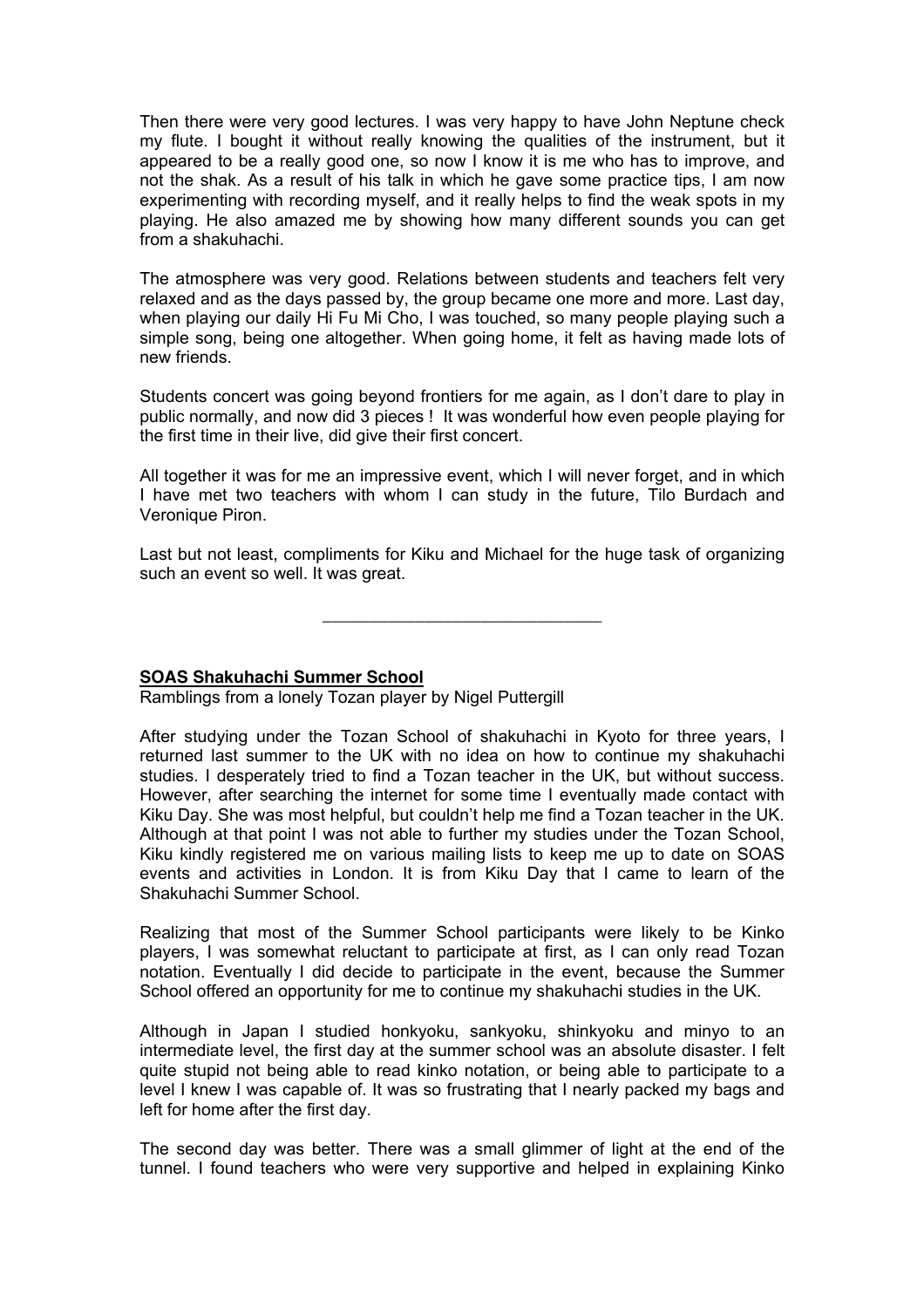Then there were very good lectures. I was very happy to have John Neptune check my flute. I bought it without really knowing the qualities of the instrument, but it appeared to be a really good one, so now I know it is me who has to improve, and not the shak. As a result of his talk in which he gave some practice tips, I am now experimenting with recording myself, and it really helps to find the weak spots in my playing. He also amazed me by showing how many different sounds you can get from a shakuhachi.

The atmosphere was very good. Relations between students and teachers felt very relaxed and as the days passed by, the group became one more and more. Last day, when playing our daily Hi Fu Mi Cho, I was touched, so many people playing such a simple song, being one altogether. When going home, it felt as having made lots of new friends.

Students concert was going beyond frontiers for me again, as I don't dare to play in public normally, and now did 3 pieces ! It was wonderful how even people playing for the first time in their live, did give their first concert.

All together it was for me an impressive event, which I will never forget, and in which I have met two teachers with whom I can study in the future, Tilo Burdach and Veronique Piron.

Last but not least, compliments for Kiku and Michael for the huge task of organizing such an event so well. It was great.

\_\_\_\_\_\_\_\_\_\_\_\_\_\_\_\_\_\_\_\_\_\_\_\_\_\_\_\_\_\_

#### **SOAS Shakuhachi Summer School**

Ramblings from a lonely Tozan player by Nigel Puttergill

After studying under the Tozan School of shakuhachi in Kyoto for three years, I returned last summer to the UK with no idea on how to continue my shakuhachi studies. I desperately tried to find a Tozan teacher in the UK, but without success. However, after searching the internet for some time I eventually made contact with Kiku Day. She was most helpful, but couldn't help me find a Tozan teacher in the UK. Although at that point I was not able to further my studies under the Tozan School, Kiku kindly registered me on various mailing lists to keep me up to date on SOAS events and activities in London. It is from Kiku Day that I came to learn of the Shakuhachi Summer School.

Realizing that most of the Summer School participants were likely to be Kinko players, I was somewhat reluctant to participate at first, as I can only read Tozan notation. Eventually I did decide to participate in the event, because the Summer School offered an opportunity for me to continue my shakuhachi studies in the UK.

Although in Japan I studied honkyoku, sankyoku, shinkyoku and minyo to an intermediate level, the first day at the summer school was an absolute disaster. I felt quite stupid not being able to read kinko notation, or being able to participate to a level I knew I was capable of. It was so frustrating that I nearly packed my bags and left for home after the first day.

The second day was better. There was a small glimmer of light at the end of the tunnel. I found teachers who were very supportive and helped in explaining Kinko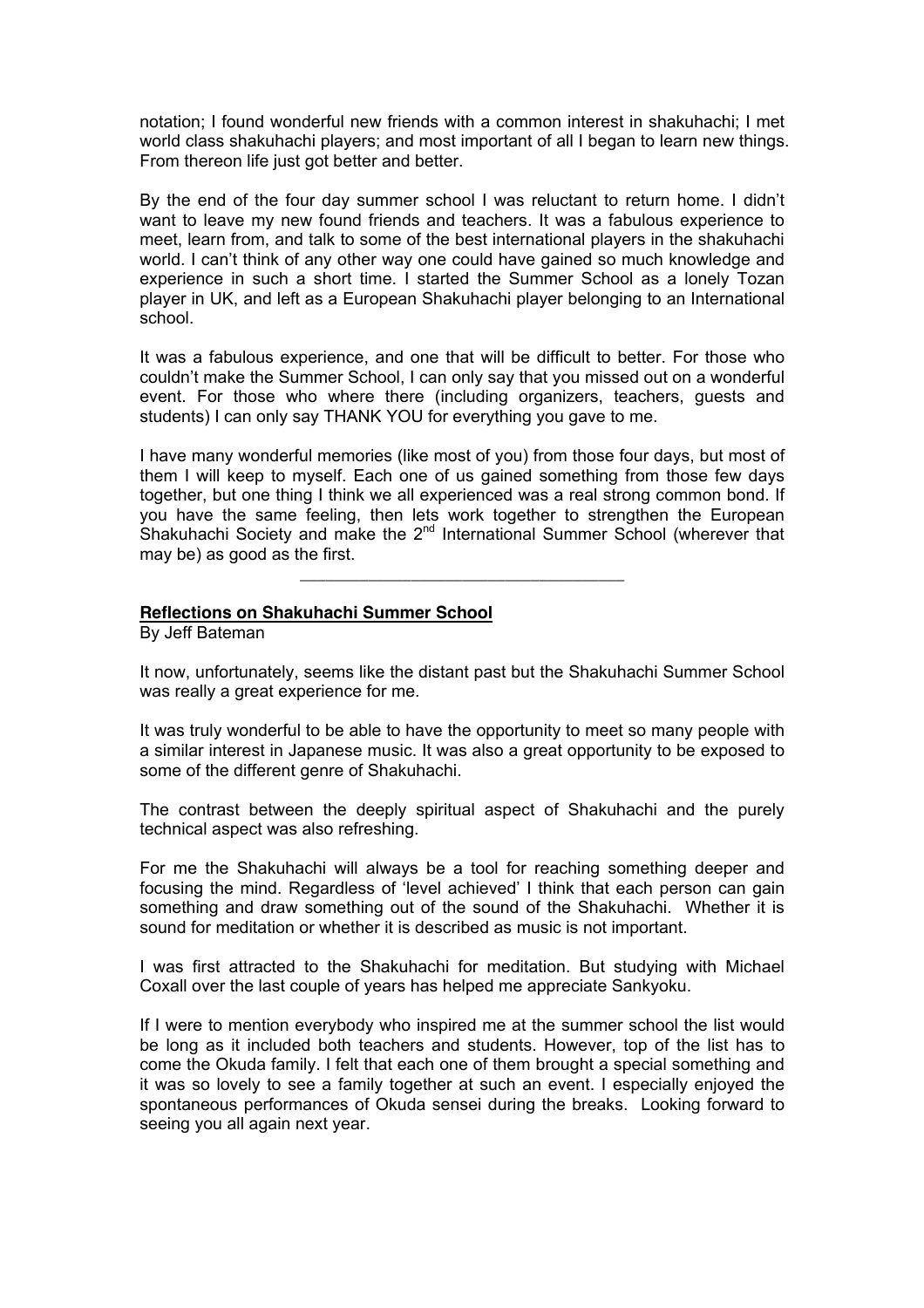notation; I found wonderful new friends with a common interest in shakuhachi; I met world class shakuhachi players; and most important of all I began to learn new things. From thereon life just got better and better.

By the end of the four day summer school I was reluctant to return home. I didn't want to leave my new found friends and teachers. It was a fabulous experience to meet, learn from, and talk to some of the best international players in the shakuhachi world. I can't think of any other way one could have gained so much knowledge and experience in such a short time. I started the Summer School as a lonely Tozan player in UK, and left as a European Shakuhachi player belonging to an International school.

It was a fabulous experience, and one that will be difficult to better. For those who couldn't make the Summer School, I can only say that you missed out on a wonderful event. For those who where there (including organizers, teachers, guests and students) I can only say THANK YOU for everything you gave to me.

I have many wonderful memories (like most of you) from those four days, but most of them I will keep to myself. Each one of us gained something from those few days together, but one thing I think we all experienced was a real strong common bond. If you have the same feeling, then lets work together to strengthen the European Shakuhachi Society and make the 2<sup>nd</sup> International Summer School (wherever that may be) as good as the first.

\_\_\_\_\_\_\_\_\_\_\_\_\_\_\_\_\_\_\_\_\_\_\_\_\_\_\_\_\_\_\_\_\_\_\_\_\_\_

## **Reflections on Shakuhachi Summer School**

By Jeff Bateman

It now, unfortunately, seems like the distant past but the Shakuhachi Summer School was really a great experience for me.

It was truly wonderful to be able to have the opportunity to meet so many people with a similar interest in Japanese music. It was also a great opportunity to be exposed to some of the different genre of Shakuhachi.

The contrast between the deeply spiritual aspect of Shakuhachi and the purely technical aspect was also refreshing.

For me the Shakuhachi will always be a tool for reaching something deeper and focusing the mind. Regardless of 'level achieved' I think that each person can gain something and draw something out of the sound of the Shakuhachi. Whether it is sound for meditation or whether it is described as music is not important.

I was first attracted to the Shakuhachi for meditation. But studying with Michael Coxall over the last couple of years has helped me appreciate Sankyoku.

If I were to mention everybody who inspired me at the summer school the list would be long as it included both teachers and students. However, top of the list has to come the Okuda family. I felt that each one of them brought a special something and it was so lovely to see a family together at such an event. I especially enjoyed the spontaneous performances of Okuda sensei during the breaks. Looking forward to seeing you all again next year.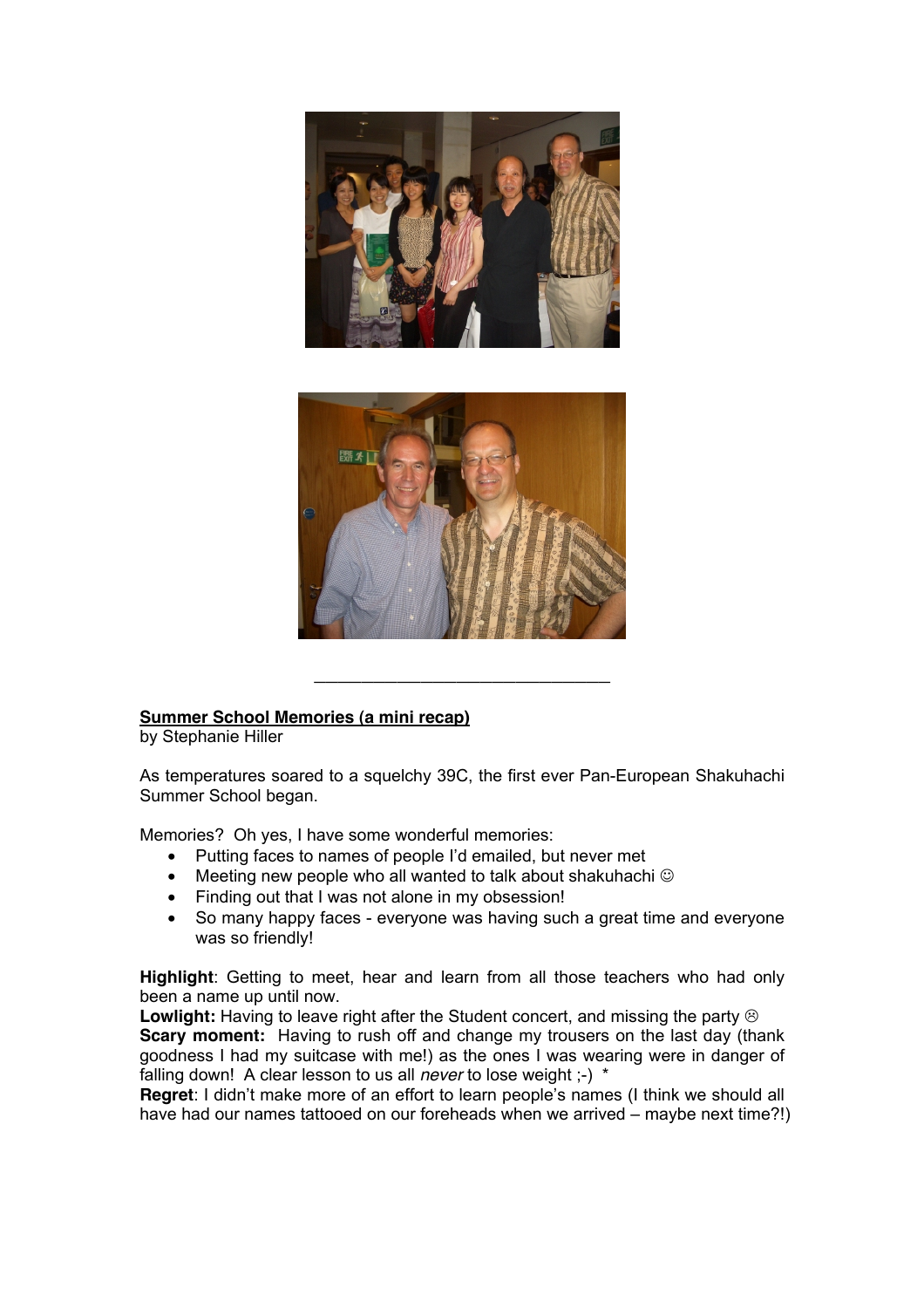



# **Summer School Memories (a mini recap)**

by Stephanie Hiller

As temperatures soared to a squelchy 39C, the first ever Pan-European Shakuhachi Summer School began.

\_\_\_\_\_\_\_\_\_\_\_\_\_\_\_\_\_\_\_\_\_\_\_\_\_

Memories? Oh yes, I have some wonderful memories:

- Putting faces to names of people I'd emailed, but never met
- Meeting new people who all wanted to talk about shakuhachi  $\odot$
- Finding out that I was not alone in my obsession!
- So many happy faces everyone was having such a great time and everyone was so friendly!

**Highlight**: Getting to meet, hear and learn from all those teachers who had only been a name up until now.

Lowlight: Having to leave right after the Student concert, and missing the party  $\circledcirc$ **Scary moment:** Having to rush off and change my trousers on the last day (thank goodness I had my suitcase with me!) as the ones I was wearing were in danger of falling down! A clear lesson to us all *never* to lose weight ;-) \*

**Regret**: I didn't make more of an effort to learn people's names (I think we should all have had our names tattooed on our foreheads when we arrived – maybe next time?!)